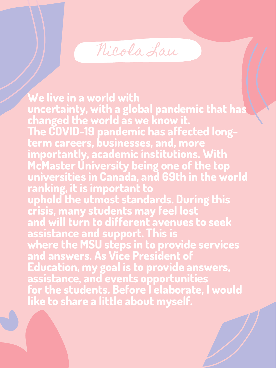nicola Lau

**We live in a world with uncertainty, with a global pandemic that has changed the world as we know it. The COVID-19 pandemic has affected longterm careers, businesses, and, more importantly, academic institutions. With McMaster University being one of the top universities in Canada, and 69th in the world ranking, it is important to uphold the utmost standards. During this crisis, many students may feel lost and will turn to different avenues to seek assistance and support. This is where the MSU steps in to provide services and answers. As Vice President of Education, my goal is to provide answers, assistance, and events opportunities for the students. Before I elaborate, I would like to share a little about myself.**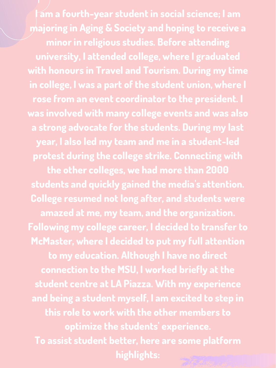**I am a fourth-year student in social science; I am majoring in Aging & Society and hoping to receive a minor in religious studies. Before attending university, I attended college, where I graduated with honours in Travel and Tourism. During my time in college, I was a part of the student union, where I rose from an event coordinator to the president. I was involved with many college events and was also a strong advocate for the students. During my last year, I also led my team and me in a student-led protest during the college strike. Connecting with the other colleges, we had more than 2000 students and quickly gained the media 's attention. College resumed not long after, and students were amazed at me, my team, and the organization. Following my college career, I decided to transfer to McMaster, where I decided to put my full attention to my education. Although I have no direct connection to the MSU, I worked briefly at the student centre at LA Piazza. With my experience and being a student myself, I am excited to step in this role to work with the other members to optimize the students 'experience. To assist student better, here are some platform highlights:**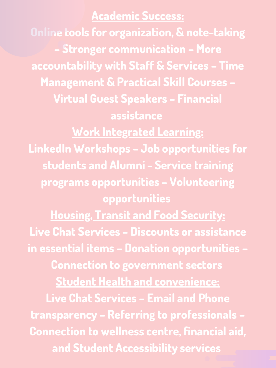## **Academic Success:**

**Online tools for organization, & note-taking – Stronger communication – More accountability with Staff & Services – Time Management & Practical Skill Courses – Virtual Guest Speakers – Financial assistance Work Integrated Learning: LinkedIn Workshops – Job opportunities for students and Alumni - Service training programs opportunities – Volunteering opportunities Housing, Transit and Food Security: Live Chat Services – Discounts or assistance in essential items – Donation opportunities – Connection to government sectors Student Health and convenience: Live Chat Services – Email and Phone transparency – Referring to professionals – Connection to wellness centre, financial aid, and Student Accessibility services**